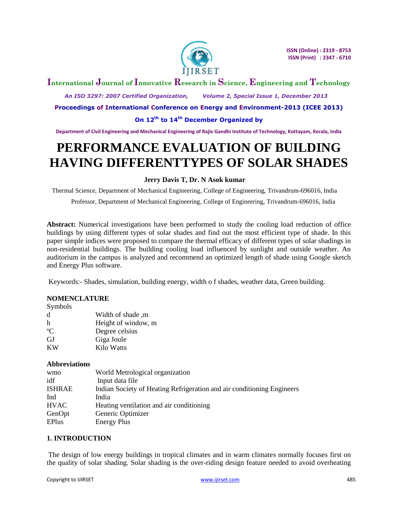

# **International Journal of Innovative Research in Science, Engineering and Technology**

 *An ISO 3297: 2007 Certified Organization, Volume 2, Special Issue 1, December 2013*

**Proceedings of International Conference on Energy and Environment-2013 (ICEE 2013)**

## **On 12th to 14th December Organized by**

**Department of Civil Engineering and Mechanical Engineering of Rajiv Gandhi Institute of Technology, Kottayam, Kerala, India**

# **PERFORMANCE EVALUATION OF BUILDING HAVING DIFFERENTTYPES OF SOLAR SHADES**

## **Jerry Davis T, Dr. N Asok kumar**

Thermal Science, Department of Mechanical Engineering, College of Engineering, Trivandrum-696016, India

Professor, Department of Mechanical Engineering, College of Engineering, Trivandrum-696016, India

**Abstract:** Numerical investigations have been performed to study the cooling load reduction of office buildings by using different types of solar shades and find out the most efficient type of shade. In this paper simple indices were proposed to compare the thermal efficacy of different types of solar shadings in non-residential buildings. The building cooling load influenced by sunlight and outside weather. An auditorium in the campus is analyzed and recommend an optimized length of shade using Google sketch and Energy Plus software.

Keywords:- Shades, simulation, building energy, width o f shades, weather data, Green building.

## **NOMENCLATURE**

| Symbols |
|---------|
|---------|

| d             | m, Width of shade   |
|---------------|---------------------|
| h             | Height of window, m |
| $\mathcal{C}$ | Degree celsius      |
| GJ            | Giga Joule          |
| KW            | Kilo Watts          |

#### **Abbreviations**

| World Metrological organization                                        |
|------------------------------------------------------------------------|
| Input data file                                                        |
| Indian Society of Heating Refrigeration and air conditioning Engineers |
| India                                                                  |
| Heating ventilation and air conditioning                               |
| Generic Optimizer                                                      |
| <b>Energy Plus</b>                                                     |
|                                                                        |

## **1. INTRODUCTION**

The design of low energy buildings in tropical climates and in warm climates normally focuses first on the quality of solar shading. Solar shading is the over-riding design feature needed to avoid overheating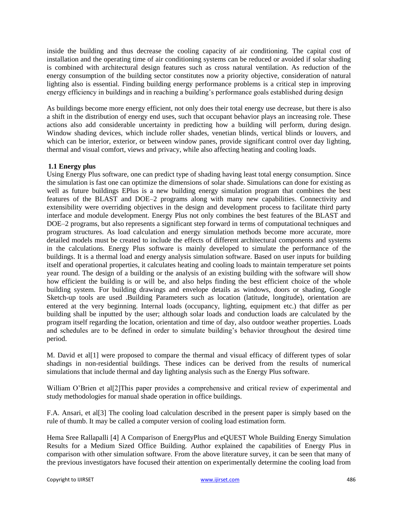inside the building and thus decrease the cooling capacity of air conditioning. The capital cost of installation and the operating time of air conditioning systems can be reduced or avoided if solar shading is combined with architectural design features such as cross natural ventilation. As reduction of the energy consumption of the building sector constitutes now a priority objective, consideration of natural lighting also is essential. Finding building energy performance problems is a critical step in improving energy efficiency in buildings and in reaching a building's performance goals established during design

As buildings become more energy efficient, not only does their total energy use decrease, but there is also a shift in the distribution of energy end uses, such that occupant behavior plays an increasing role. These actions also add considerable uncertainty in predicting how a building will perform, during design. Window shading devices, which include roller shades, venetian blinds, vertical blinds or louvers, and which can be interior, exterior, or between window panes, provide significant control over day lighting, thermal and visual comfort, views and privacy, while also affecting heating and cooling loads.

## **1.1 Energy plus**

Using Energy Plus software, one can predict type of shading having least total energy consumption. Since the simulation is fast one can optimize the dimensions of solar shade. Simulations can done for existing as well as future buildings EPlus is a new building energy simulation program that combines the best features of the BLAST and DOE–2 programs along with many new capabilities. Connectivity and extensibility were overriding objectives in the design and development process to facilitate third party interface and module development. Energy Plus not only combines the best features of the BLAST and DOE–2 programs, but also represents a significant step forward in terms of computational techniques and program structures. As load calculation and energy simulation methods become more accurate, more detailed models must be created to include the effects of different architectural components and systems in the calculations. Energy Plus software is mainly developed to simulate the performance of the buildings. It is a thermal load and energy analysis simulation software. Based on user inputs for building itself and operational properties, it calculates heating and cooling loads to maintain temperature set points year round. The design of a building or the analysis of an existing building with the software will show how efficient the building is or will be, and also helps finding the best efficient choice of the whole building system. For building drawings and envelope details as windows, doors or shading, Google Sketch-up tools are used .Building Parameters such as location (latitude, longitude), orientation are entered at the very beginning. Internal loads (occupancy, lighting, equipment etc.) that differ as per building shall be inputted by the user; although solar loads and conduction loads are calculated by the program itself regarding the location, orientation and time of day, also outdoor weather properties. Loads and schedules are to be defined in order to simulate building's behavior throughout the desired time period.

M. David et al[1] were proposed to compare the thermal and visual efficacy of different types of solar shadings in non-residential buildings. These indices can be derived from the results of numerical simulations that include thermal and day lighting analysis such as the Energy Plus software.

William O'Brien et all [2] This paper provides a comprehensive and critical review of experimental and study methodologies for manual shade operation in office buildings.

F.A. Ansari, et al[3] The cooling load calculation described in the present paper is simply based on the rule of thumb. It may be called a computer version of cooling load estimation form.

Hema Sree Rallapalli [4] A Comparison of EnergyPlus and eQUEST Whole Building Energy Simulation Results for a Medium Sized Office Building. Author explained the capabilities of Energy Plus in comparison with other simulation software. From the above literature survey, it can be seen that many of the previous investigators have focused their attention on experimentally determine the cooling load from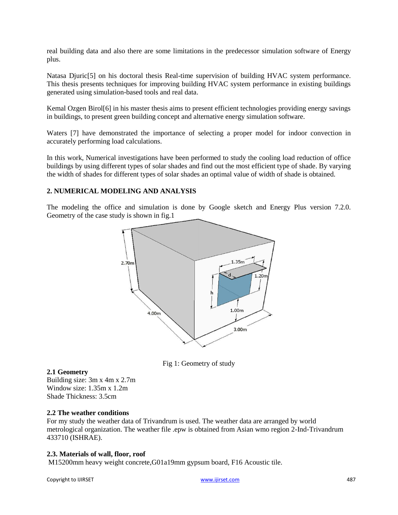real building data and also there are some limitations in the predecessor simulation software of Energy plus.

Natasa Djuric<sup>[5]</sup> on his doctoral thesis Real-time supervision of building HVAC system performance. This thesis presents techniques for improving building HVAC system performance in existing buildings generated using simulation-based tools and real data.

Kemal Ozgen Birol[6] in his master thesis aims to present efficient technologies providing energy savings in buildings, to present green building concept and alternative energy simulation software.

Waters [7] have demonstrated the importance of selecting a proper model for indoor convection in accurately performing load calculations.

In this work, Numerical investigations have been performed to study the cooling load reduction of office buildings by using different types of solar shades and find out the most efficient type of shade. By varying the width of shades for different types of solar shades an optimal value of width of shade is obtained.

## **2. NUMERICAL MODELING AND ANALYSIS**

The modeling the office and simulation is done by Google sketch and Energy Plus version 7.2.0. Geometry of the case study is shown in fig.1



Fig 1: Geometry of study

## **2.1 Geometry**

Building size: 3m x 4m x 2.7m Window size: 1.35m x 1.2m Shade Thickness: 3.5cm

## **2.2 The weather conditions**

For my study the weather data of Trivandrum is used. The weather data are arranged by world metrological organization. The weather file .epw is obtained from Asian wmo region 2-Ind-Trivandrum 433710 (ISHRAE).

## **2.3. Materials of wall, floor, roof**

M15200mm heavy weight concrete,G01a19mm gypsum board, F16 Acoustic tile.

Copyright to IJIRSET and the control of the control of the control of the control of the control of the control of the control of the control of the control of the control of the control of the control of the control of th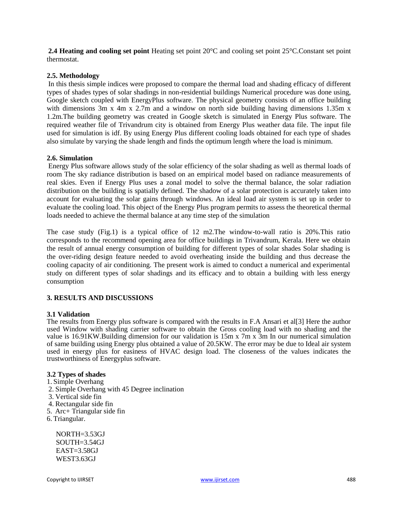**2.4 Heating and cooling set point** Heating set point 20°C and cooling set point 25°C.Constant set point thermostat.

#### **2.5. Methodology**

In this thesis simple indices were proposed to compare the thermal load and shading efficacy of different types of shades types of solar shadings in non-residential buildings Numerical procedure was done using, Google sketch coupled with EnergyPlus software. The physical geometry consists of an office building with dimensions 3m x 4m x 2.7m and a window on north side building having dimensions 1.35m x 1.2m.The building geometry was created in Google sketch is simulated in Energy Plus software. The required weather file of Trivandrum city is obtained from Energy Plus weather data file. The input file used for simulation is idf. By using Energy Plus different cooling loads obtained for each type of shades also simulate by varying the shade length and finds the optimum length where the load is minimum.

#### **2.6. Simulation**

Energy Plus software allows study of the solar efficiency of the solar shading as well as thermal loads of room The sky radiance distribution is based on an empirical model based on radiance measurements of real skies. Even if Energy Plus uses a zonal model to solve the thermal balance, the solar radiation distribution on the building is spatially defined. The shadow of a solar protection is accurately taken into account for evaluating the solar gains through windows. An ideal load air system is set up in order to evaluate the cooling load. This object of the Energy Plus program permits to assess the theoretical thermal loads needed to achieve the thermal balance at any time step of the simulation

The case study (Fig.1) is a typical office of 12 m2.The window-to-wall ratio is 20%.This ratio corresponds to the recommend opening area for office buildings in Trivandrum, Kerala. Here we obtain the result of annual energy consumption of building for different types of solar shades Solar shading is the over-riding design feature needed to avoid overheating inside the building and thus decrease the cooling capacity of air conditioning. The present work is aimed to conduct a numerical and experimental study on different types of solar shadings and its efficacy and to obtain a building with less energy consumption

#### **3. RESULTS AND DISCUSSIONS**

#### **3.1 Validation**

The results from Energy plus software is compared with the results in F.A Ansari et al[3] Here the author used Window with shading carrier software to obtain the Gross cooling load with no shading and the value is 16.91KW.Building dimension for our validation is 15m x 7m x 3m In our numerical simulation of same building using Energy plus obtained a value of 20.5KW. The error may be due to Ideal air system used in energy plus for easiness of HVAC design load. The closeness of the values indicates the trustworthiness of Energyplus software.

#### **3.2 Types of shades**

- 1. Simple Overhang
- 2. Simple Overhang with 45 Degree inclination
- 3. Vertical side fin
- 4. Rectangular side fin
- 5. Arc+ Triangular side fin
- 6. Triangular.

NORTH=3.53GJ SOUTH=3.54GJ EAST=3.58GJ WEST3.63GJ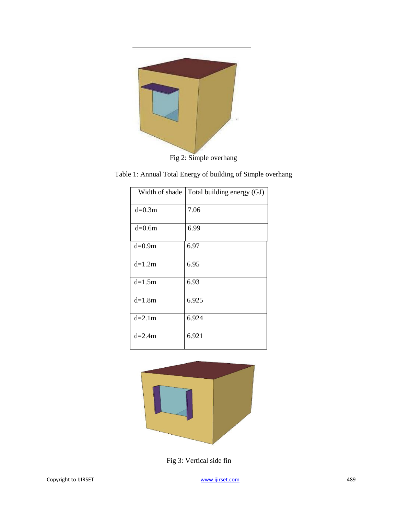

Fig 2: Simple overhang

Table 1: Annual Total Energy of building of Simple overhang

| Width of shade | Total building energy (GJ) |
|----------------|----------------------------|
| $d=0.3m$       | 7.06                       |
| $d=0.6m$       | 6.99                       |
| $d=0.9m$       | 6.97                       |
| $d=1.2m$       | 6.95                       |
| $d=1.5m$       | 6.93                       |
| $d=1.8m$       | 6.925                      |
| $d=2.1m$       | 6.924                      |
| $d=2.4m$       | 6.921                      |



Fig 3: Vertical side fin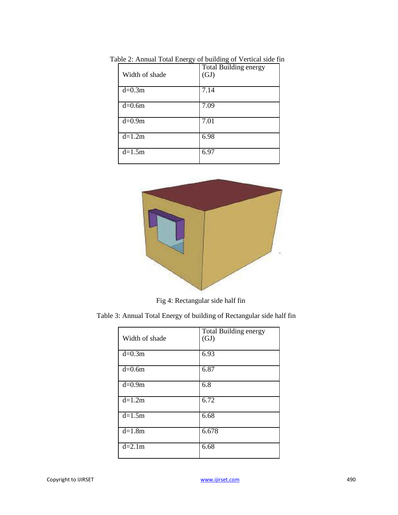| Width of shade       | <b>Total Building energy</b><br>(GJ) |
|----------------------|--------------------------------------|
| $d=0.3m$             | 7.14                                 |
| $d=0.6m$             | 7.09                                 |
| $d=0.9m$             | 7.01                                 |
| $d=1.2m$             | 6.98                                 |
| $\overline{d}$ =1.5m | 6.97                                 |

Table 2: Annual Total Energy of building of Vertical side fin



Fig 4: Rectangular side half fin

Table 3: Annual Total Energy of building of Rectangular side half fin

| Width of shade | <b>Total Building energy</b><br>(GJ) |
|----------------|--------------------------------------|
| $d=0.3m$       | 6.93                                 |
| $d=0.6m$       | 6.87                                 |
| $d=0.9m$       | 6.8                                  |
| $d=1.2m$       | 6.72                                 |
| $d=1.5m$       | 6.68                                 |
| $d=1.8m$       | 6.678                                |
| $d=2.1m$       | 6.68                                 |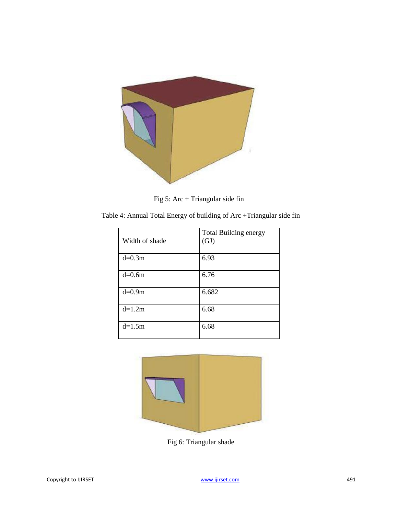

Fig 5: Arc + Triangular side fin

Table 4: Annual Total Energy of building of Arc +Triangular side fin

| Width of shade | <b>Total Building energy</b><br>(GJ) |
|----------------|--------------------------------------|
| $d=0.3m$       | 6.93                                 |
| $d=0.6m$       | 6.76                                 |
| $d=0.9m$       | 6.682                                |
| $d=1.2m$       | 6.68                                 |
| $d=1.5m$       | 6.68                                 |



Fig 6: Triangular shade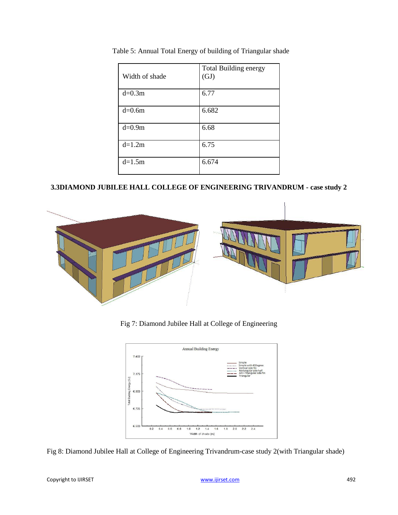| Width of shade | <b>Total Building energy</b><br>(GJ) |
|----------------|--------------------------------------|
| $d=0.3m$       | 6.77                                 |
| $d=0.6m$       | 6.682                                |
| $d=0.9m$       | 6.68                                 |
| $d=1.2m$       | 6.75                                 |
| $d=1.5m$       | 6.674                                |

Table 5: Annual Total Energy of building of Triangular shade

# **3.3DIAMOND JUBILEE HALL COLLEGE OF ENGINEERING TRIVANDRUM - case study 2**



Fig 7: Diamond Jubilee Hall at College of Engineering



Fig 8: Diamond Jubilee Hall at College of Engineering Trivandrum-case study 2(with Triangular shade)